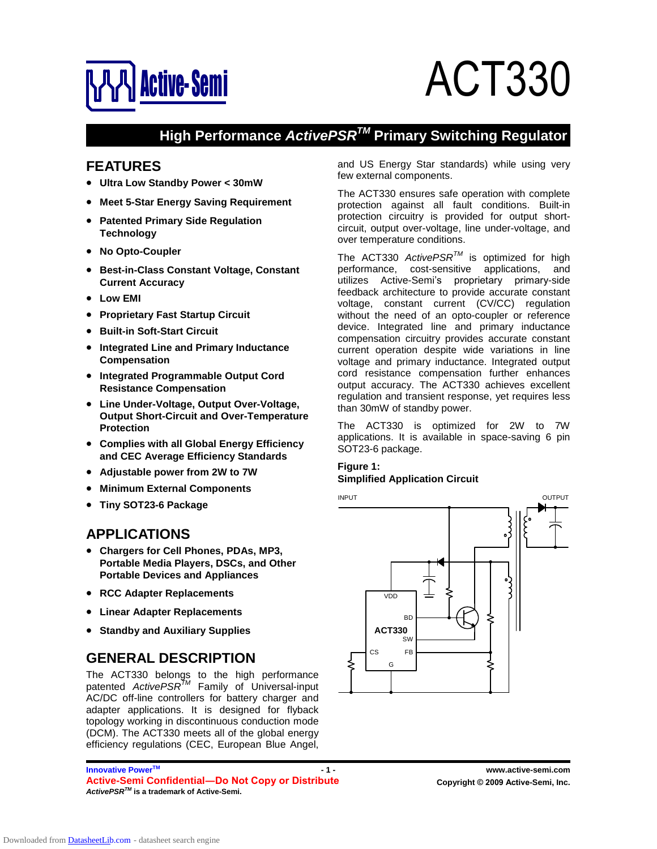

# **ACT330**

# **High Performance ActivePSR<sup>TM</sup> Primary Switching Regulator**

## **FEATURES**

- **Ultra Low Standby Power < 30mW**
- **Meet 5-Star Energy Saving Requirement**
- **Patented Primary Side Regulation Technology**
- **No Opto-Coupler**
- **Best-in-Class Constant Voltage, Constant Current Accuracy Low EMI**  $\bullet$
- 
- **Proprietary Fast Startup Circuit**
- **Built-in Soft-Start Circuit**
- **Integrated Line and Primary Inductance Compensation**  $\bullet$
- **Integrated Programmable Output Cord Resistance Compensation**
- **Line Under-Voltage, Output Over-Voltage, Output Short-Circuit and Over-Temperature Protection**
- **Complies with all Global Energy Efficiency and CEC Average Efficiency Standards**
- **Adjustable power from 2W to 7W**
- $\bullet$ **Minimum External Components**
- **Tiny SOT23-6 Package**

#### **APPLICATIONS**

- **Chargers for Cell Phones, PDAs, MP3, Portable Media Players, DSCs, and Other Portable Devices and Appliances**
- **RCC Adapter Replacements**
- **Linear Adapter Replacements**
- **Standby and Auxiliary Supplies**

## **GENERAL DESCRIPTION**

The ACT330 belongs to the high performance patented ActivePSR<sup>™</sup> Family of Universal-input AC/DC off-line controllers for battery charger and adapter applications. It is designed for flyback topology working in discontinuous conduction mode (DCM). The ACT330 meets all of the global energy efficiency regulations (CEC, European Blue Angel,

**Innovative PowerTM Active-Semi Confidential—Do Not Copy or Distribute <b>Concept Contains Convergent** C 2009 Active-Semi, Inc. **ActivePSR TM is a trademark of Active-Semi.**

and US Energy Star standards) while using very few external components.

The ACT330 ensures safe operation with complete protection against all fault conditions. Built-in protection circuitry is provided for output short circuit, output over-voltage, line under-voltage, and over temperature conditions.

The ACT330 Active $PSR^{TM}$  is optimized for high performance, cost-sensitive applications, and utilizes Active-Semi's proprietary primary-side feedback architecture to provide accurate constant voltage, constant current (CV/CC) regulation without the need of an opto-coupler or reference device. Integrated line and primary inductance compensation circuitry provides accurate constant current operation despite wide variations in line voltage and primary inductance. Integrated output cord resistance compensation further enhances output accuracy. The ACT330 achieves excellent regulation and transient response, yet requires less than 30mW of standby power.

The ACT330 is optimized for 2W to 7W applications. It is available in space-saving 6 pin SOT23-6 package.

#### **Figure 1: Simplified Application Circuit**



**- 1 - www.active-semi.com**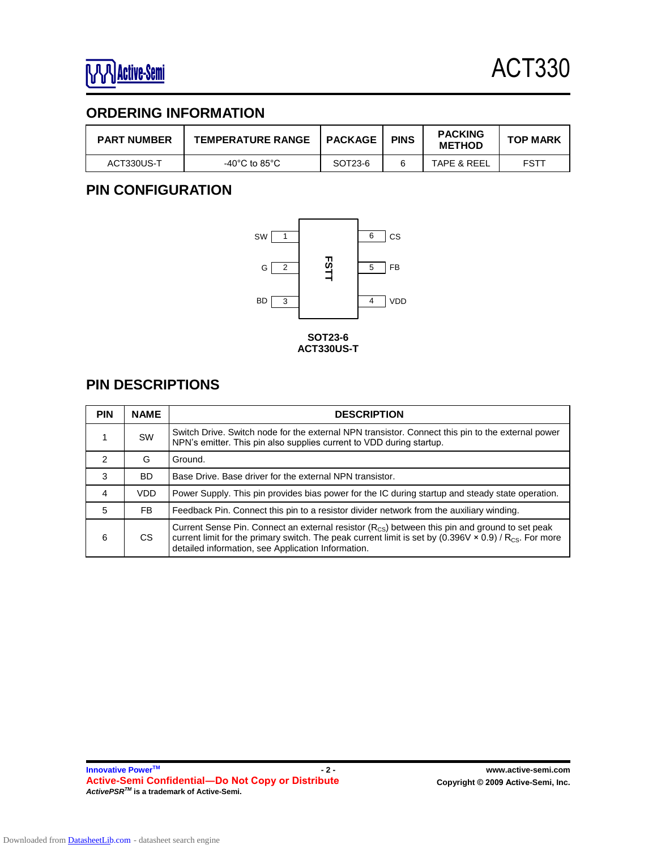## **ORDERING INFORMATION**

| <b>PART NUMBER</b> | <b>TEMPERATURE RANGE</b> | <b>PACKAGE</b> | <b>PINS</b> | <b>PACKING</b><br><b>METHOD</b> | <b>TOP MARK</b> |
|--------------------|--------------------------|----------------|-------------|---------------------------------|-----------------|
| ACT330US-T         | -40°C to 85°C            | SOT23-6        |             | TAPE & REEL                     | FSTT            |

## **PIN CONFIGURATION**



## **PIN DESCRIPTIONS**

| <b>PIN</b> | <b>NAME</b> | <b>DESCRIPTION</b>                                                                                                                                                                                                                                                                               |
|------------|-------------|--------------------------------------------------------------------------------------------------------------------------------------------------------------------------------------------------------------------------------------------------------------------------------------------------|
| 1          | <b>SW</b>   | Switch Drive. Switch node for the external NPN transistor. Connect this pin to the external power<br>NPN's emitter. This pin also supplies current to VDD during startup.                                                                                                                        |
| 2          | G           | Ground.                                                                                                                                                                                                                                                                                          |
| 3          | <b>BD</b>   | Base Drive. Base driver for the external NPN transistor.                                                                                                                                                                                                                                         |
| 4          | <b>VDD</b>  | Power Supply. This pin provides bias power for the IC during startup and steady state operation.                                                                                                                                                                                                 |
| 5          | FB.         | Feedback Pin. Connect this pin to a resistor divider network from the auxiliary winding.                                                                                                                                                                                                         |
| 6          | CS          | Current Sense Pin. Connect an external resistor $(R_{\text{CS}})$ between this pin and ground to set peak<br>current limit for the primary switch. The peak current limit is set by $(0.396 \vee \times 0.9)$ / R <sub>CS</sub> . For more<br>detailed information, see Application Information. |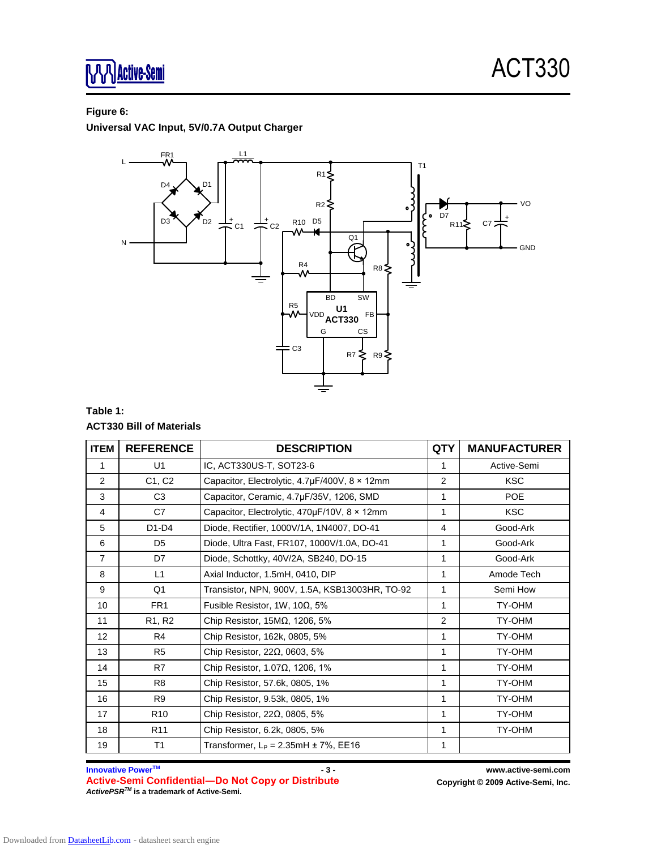#### **Figure 6:**

**Universal VAC Input, 5V/0.7A Output Charger**



#### **Table 1: ACT330 Bill of Materials**

| <b>ITEM</b>     | <b>REFERENCE</b> | <b>DESCRIPTION</b>                             | <b>QTY</b>     | <b>MANUFACTURER</b> |
|-----------------|------------------|------------------------------------------------|----------------|---------------------|
| 1               | U <sub>1</sub>   | IC, ACT330US-T, SOT23-6                        | 1              | Active-Semi         |
| 2               | C1, C2           | Capacitor, Electrolytic, 4.7µF/400V, 8 × 12mm  | $\overline{2}$ | <b>KSC</b>          |
| 3               | C <sub>3</sub>   | Capacitor, Ceramic, 4.7µF/35V, 1206, SMD       | 1              | <b>POE</b>          |
| 4               | C7               | Capacitor, Electrolytic, 470µF/10V, 8 × 12mm   | 1              | <b>KSC</b>          |
| 5               | $D1-D4$          | Diode, Rectifier, 1000V/1A, 1N4007, DO-41      | 4              | Good-Ark            |
| 6               | D <sub>5</sub>   | Diode, Ultra Fast, FR107, 1000V/1.0A, DO-41    | 1              | Good-Ark            |
| $\overline{7}$  | D7               | Diode, Schottky, 40V/2A, SB240, DO-15          | 1              | Good-Ark            |
| 8               | L1               | Axial Inductor, 1.5mH, 0410, DIP               | 1              | Amode Tech          |
| 9               | Q <sub>1</sub>   | Transistor, NPN, 900V, 1.5A, KSB13003HR, TO-92 | 1              | Semi How            |
| 10              | FR <sub>1</sub>  | Fusible Resistor, 1W, 10 $\Omega$ , 5%         | 1              | TY-OHM              |
| 11              | R1, R2           | Chip Resistor, $15M\Omega$ , $1206$ , $5%$     | $\overline{2}$ | TY-OHM              |
| 12 <sup>°</sup> | R <sub>4</sub>   | Chip Resistor, 162k, 0805, 5%                  | 1              | TY-OHM              |
| 13              | R <sub>5</sub>   | Chip Resistor, $22\Omega$ , 0603, 5%           | 1              | TY-OHM              |
| 14              | R7               | Chip Resistor, $1.07\Omega$ , 1206, 1%         | 1              | TY-OHM              |
| 15              | R <sub>8</sub>   | Chip Resistor, 57.6k, 0805, 1%                 | 1              | TY-OHM              |
| 16              | R <sub>9</sub>   | Chip Resistor, 9.53k, 0805, 1%                 | 1              | TY-OHM              |
| 17              | R <sub>10</sub>  | Chip Resistor, $22\Omega$ , 0805, 5%           | 1              | TY-OHM              |
| 18              | R <sub>11</sub>  | Chip Resistor, 6.2k, 0805, 5%                  | 1              | TY-OHM              |
| 19              | T1               | Transformer, $L_P = 2.35$ mH $\pm 7\%$ , EE16  | 1              |                     |

**Innovative PowerTM Active-Semi ConfidentialØDo Not Copy or Distribute Copyright © <sup>2009</sup> Active-Semi, Inc. ActivePSR TM is a trademark of Active-Semi.**

**- 3 - www.active-semi.com**